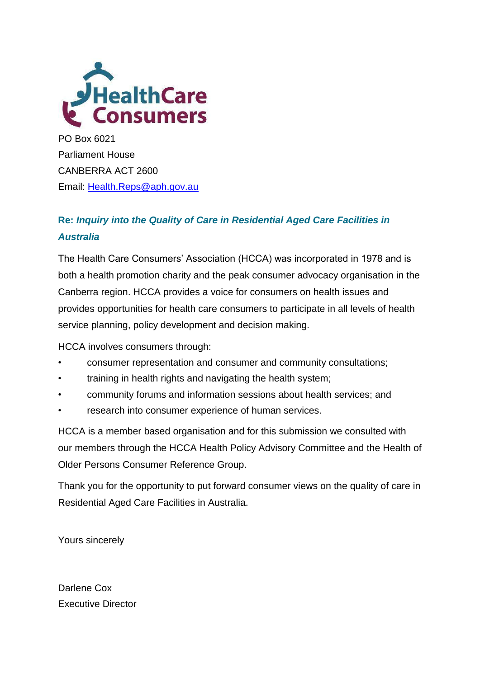

PO Box 6021 Parliament House CANBERRA ACT 2600 Email: [Health.Reps@aph.gov.au](mailto:Health.Reps@aph.gov.au)

# **Re:** *Inquiry into the Quality of Care in Residential Aged Care Facilities in Australia*

The Health Care Consumers' Association (HCCA) was incorporated in 1978 and is both a health promotion charity and the peak consumer advocacy organisation in the Canberra region. HCCA provides a voice for consumers on health issues and provides opportunities for health care consumers to participate in all levels of health service planning, policy development and decision making.

HCCA involves consumers through:

- consumer representation and consumer and community consultations;
- training in health rights and navigating the health system;
- community forums and information sessions about health services; and
- research into consumer experience of human services.

HCCA is a member based organisation and for this submission we consulted with our members through the HCCA Health Policy Advisory Committee and the Health of Older Persons Consumer Reference Group.

Thank you for the opportunity to put forward consumer views on the quality of care in Residential Aged Care Facilities in Australia.

Yours sincerely

Darlene Cox Executive Director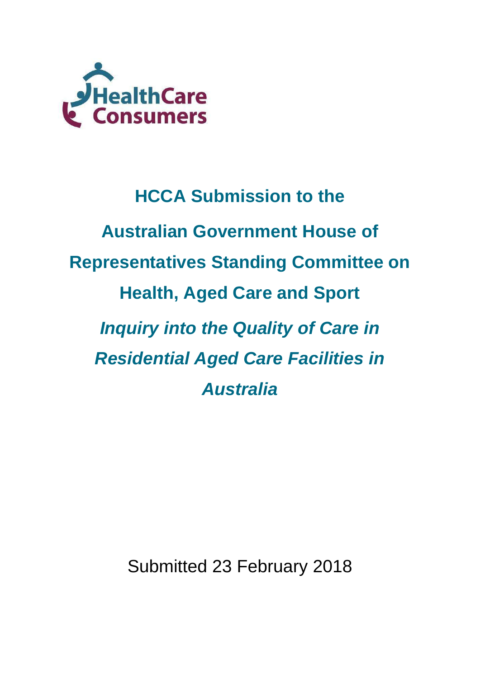

# **HCCA Submission to the Australian Government House of Representatives Standing Committee on Health, Aged Care and Sport** *Inquiry into the Quality of Care in Residential Aged Care Facilities in Australia*

Submitted 23 February 2018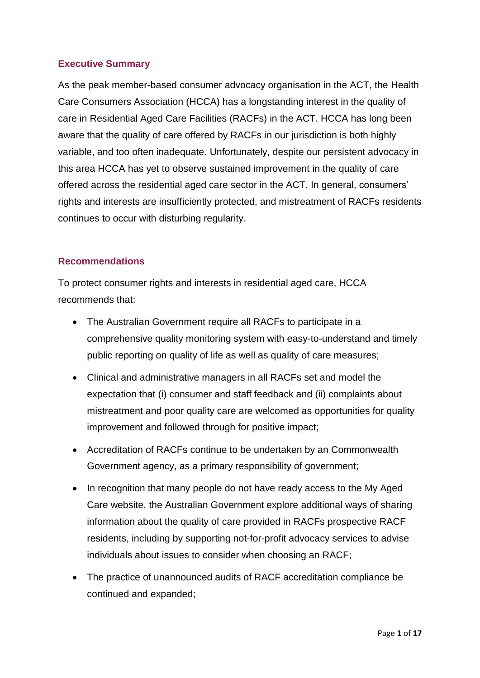### **Executive Summary**

As the peak member-based consumer advocacy organisation in the ACT, the Health Care Consumers Association (HCCA) has a longstanding interest in the quality of care in Residential Aged Care Facilities (RACFs) in the ACT. HCCA has long been aware that the quality of care offered by RACFs in our jurisdiction is both highly variable, and too often inadequate. Unfortunately, despite our persistent advocacy in this area HCCA has yet to observe sustained improvement in the quality of care offered across the residential aged care sector in the ACT. In general, consumers' rights and interests are insufficiently protected, and mistreatment of RACFs residents continues to occur with disturbing regularity.

#### **Recommendations**

To protect consumer rights and interests in residential aged care, HCCA recommends that:

- The Australian Government require all RACFs to participate in a comprehensive quality monitoring system with easy-to-understand and timely public reporting on quality of life as well as quality of care measures;
- Clinical and administrative managers in all RACFs set and model the expectation that (i) consumer and staff feedback and (ii) complaints about mistreatment and poor quality care are welcomed as opportunities for quality improvement and followed through for positive impact;
- Accreditation of RACFs continue to be undertaken by an Commonwealth Government agency, as a primary responsibility of government;
- In recognition that many people do not have ready access to the My Aged Care website, the Australian Government explore additional ways of sharing information about the quality of care provided in RACFs prospective RACF residents, including by supporting not-for-profit advocacy services to advise individuals about issues to consider when choosing an RACF;
- The practice of unannounced audits of RACF accreditation compliance be continued and expanded;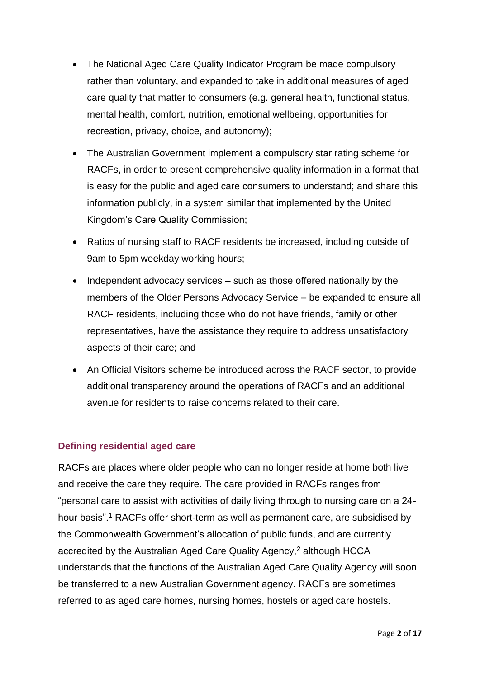- The National Aged Care Quality Indicator Program be made compulsory rather than voluntary, and expanded to take in additional measures of aged care quality that matter to consumers (e.g. general health, functional status, mental health, comfort, nutrition, emotional wellbeing, opportunities for recreation, privacy, choice, and autonomy);
- The Australian Government implement a compulsory star rating scheme for RACFs, in order to present comprehensive quality information in a format that is easy for the public and aged care consumers to understand; and share this information publicly, in a system similar that implemented by the United Kingdom's Care Quality Commission;
- Ratios of nursing staff to RACF residents be increased, including outside of 9am to 5pm weekday working hours;
- $\bullet$  Independent advocacy services  $-$  such as those offered nationally by the members of the Older Persons Advocacy Service – be expanded to ensure all RACF residents, including those who do not have friends, family or other representatives, have the assistance they require to address unsatisfactory aspects of their care; and
- An Official Visitors scheme be introduced across the RACF sector, to provide additional transparency around the operations of RACFs and an additional avenue for residents to raise concerns related to their care.

# **Defining residential aged care**

RACFs are places where older people who can no longer reside at home both live and receive the care they require. The care provided in RACFs ranges from "personal care to assist with activities of daily living through to nursing care on a 24 hour basis".<sup>1</sup> RACFs offer short-term as well as permanent care, are subsidised by the Commonwealth Government's allocation of public funds, and are currently accredited by the Australian Aged Care Quality Agency,<sup>2</sup> although HCCA understands that the functions of the Australian Aged Care Quality Agency will soon be transferred to a new Australian Government agency. RACFs are sometimes referred to as aged care homes, nursing homes, hostels or aged care hostels.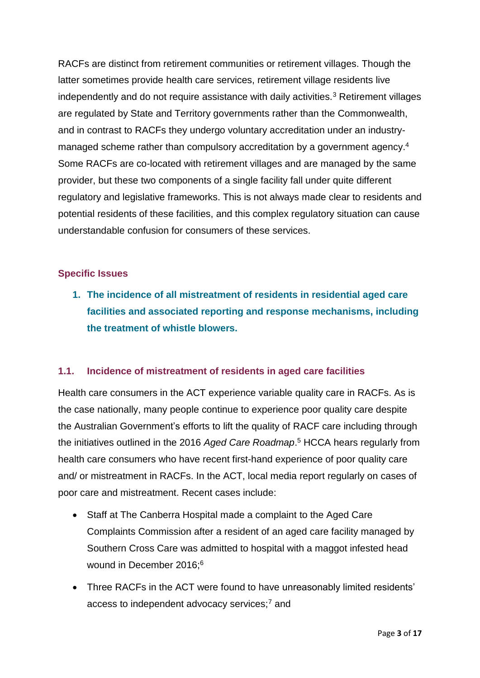RACFs are distinct from retirement communities or retirement villages. Though the latter sometimes provide health care services, retirement village residents live independently and do not require assistance with daily activities.<sup>3</sup> Retirement villages are regulated by State and Territory governments rather than the Commonwealth, and in contrast to RACFs they undergo voluntary accreditation under an industrymanaged scheme rather than compulsory accreditation by a government agency. 4 Some RACFs are co-located with retirement villages and are managed by the same provider, but these two components of a single facility fall under quite different regulatory and legislative frameworks. This is not always made clear to residents and potential residents of these facilities, and this complex regulatory situation can cause understandable confusion for consumers of these services.

#### **Specific Issues**

**1. The incidence of all mistreatment of residents in residential aged care facilities and associated reporting and response mechanisms, including the treatment of whistle blowers.**

# **1.1. Incidence of mistreatment of residents in aged care facilities**

Health care consumers in the ACT experience variable quality care in RACFs. As is the case nationally, many people continue to experience poor quality care despite the Australian Government's efforts to lift the quality of RACF care including through the initiatives outlined in the 2016 *Aged Care Roadmap*. <sup>5</sup> HCCA hears regularly from health care consumers who have recent first-hand experience of poor quality care and/ or mistreatment in RACFs. In the ACT, local media report regularly on cases of poor care and mistreatment. Recent cases include:

- Staff at The Canberra Hospital made a complaint to the Aged Care Complaints Commission after a resident of an aged care facility managed by Southern Cross Care was admitted to hospital with a maggot infested head wound in December 2016:<sup>6</sup>
- Three RACFs in the ACT were found to have unreasonably limited residents' access to independent advocacy services;<sup>7</sup> and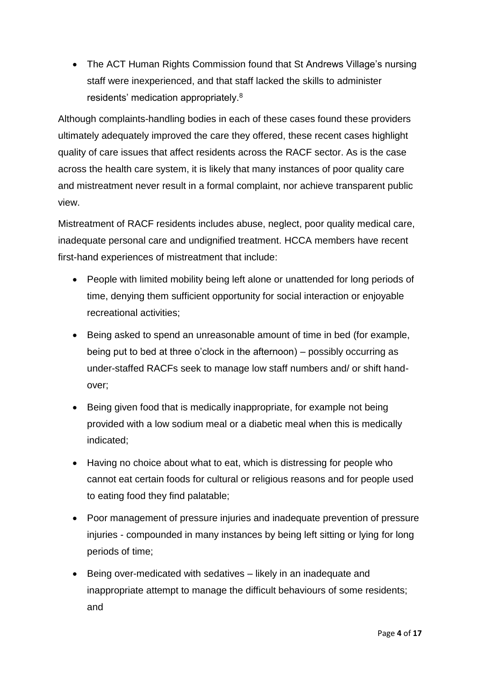• The ACT Human Rights Commission found that St Andrews Village's nursing staff were inexperienced, and that staff lacked the skills to administer residents' medication appropriately.<sup>8</sup>

Although complaints-handling bodies in each of these cases found these providers ultimately adequately improved the care they offered, these recent cases highlight quality of care issues that affect residents across the RACF sector. As is the case across the health care system, it is likely that many instances of poor quality care and mistreatment never result in a formal complaint, nor achieve transparent public view.

Mistreatment of RACF residents includes abuse, neglect, poor quality medical care, inadequate personal care and undignified treatment. HCCA members have recent first-hand experiences of mistreatment that include:

- People with limited mobility being left alone or unattended for long periods of time, denying them sufficient opportunity for social interaction or enjoyable recreational activities;
- Being asked to spend an unreasonable amount of time in bed (for example, being put to bed at three o'clock in the afternoon) – possibly occurring as under-staffed RACFs seek to manage low staff numbers and/ or shift handover;
- Being given food that is medically inappropriate, for example not being provided with a low sodium meal or a diabetic meal when this is medically indicated;
- Having no choice about what to eat, which is distressing for people who cannot eat certain foods for cultural or religious reasons and for people used to eating food they find palatable;
- Poor management of pressure injuries and inadequate prevention of pressure injuries - compounded in many instances by being left sitting or lying for long periods of time;
- Being over-medicated with sedatives likely in an inadequate and inappropriate attempt to manage the difficult behaviours of some residents; and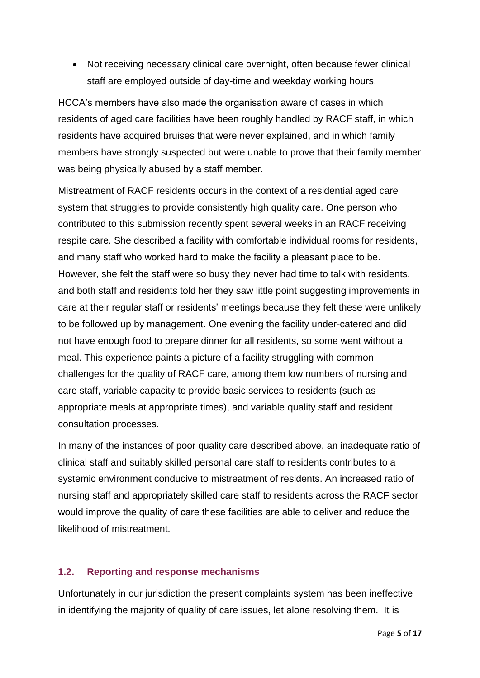• Not receiving necessary clinical care overnight, often because fewer clinical staff are employed outside of day-time and weekday working hours.

HCCA's members have also made the organisation aware of cases in which residents of aged care facilities have been roughly handled by RACF staff, in which residents have acquired bruises that were never explained, and in which family members have strongly suspected but were unable to prove that their family member was being physically abused by a staff member.

Mistreatment of RACF residents occurs in the context of a residential aged care system that struggles to provide consistently high quality care. One person who contributed to this submission recently spent several weeks in an RACF receiving respite care. She described a facility with comfortable individual rooms for residents, and many staff who worked hard to make the facility a pleasant place to be. However, she felt the staff were so busy they never had time to talk with residents, and both staff and residents told her they saw little point suggesting improvements in care at their regular staff or residents' meetings because they felt these were unlikely to be followed up by management. One evening the facility under-catered and did not have enough food to prepare dinner for all residents, so some went without a meal. This experience paints a picture of a facility struggling with common challenges for the quality of RACF care, among them low numbers of nursing and care staff, variable capacity to provide basic services to residents (such as appropriate meals at appropriate times), and variable quality staff and resident consultation processes.

In many of the instances of poor quality care described above, an inadequate ratio of clinical staff and suitably skilled personal care staff to residents contributes to a systemic environment conducive to mistreatment of residents. An increased ratio of nursing staff and appropriately skilled care staff to residents across the RACF sector would improve the quality of care these facilities are able to deliver and reduce the likelihood of mistreatment.

#### **1.2. Reporting and response mechanisms**

Unfortunately in our jurisdiction the present complaints system has been ineffective in identifying the majority of quality of care issues, let alone resolving them. It is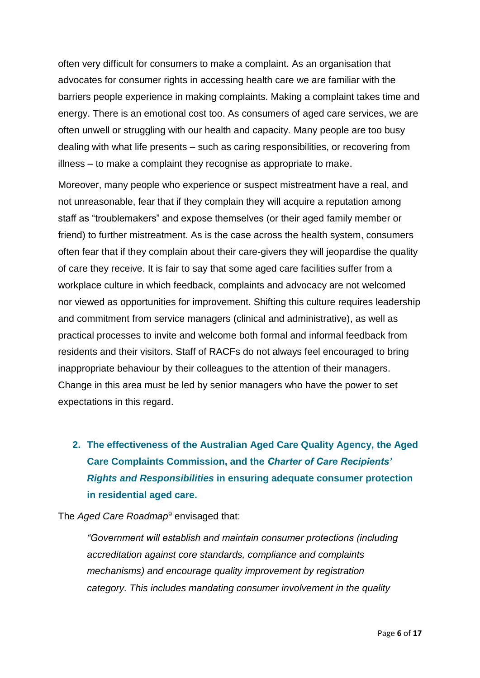often very difficult for consumers to make a complaint. As an organisation that advocates for consumer rights in accessing health care we are familiar with the barriers people experience in making complaints. Making a complaint takes time and energy. There is an emotional cost too. As consumers of aged care services, we are often unwell or struggling with our health and capacity. Many people are too busy dealing with what life presents – such as caring responsibilities, or recovering from illness – to make a complaint they recognise as appropriate to make.

Moreover, many people who experience or suspect mistreatment have a real, and not unreasonable, fear that if they complain they will acquire a reputation among staff as "troublemakers" and expose themselves (or their aged family member or friend) to further mistreatment. As is the case across the health system, consumers often fear that if they complain about their care-givers they will jeopardise the quality of care they receive. It is fair to say that some aged care facilities suffer from a workplace culture in which feedback, complaints and advocacy are not welcomed nor viewed as opportunities for improvement. Shifting this culture requires leadership and commitment from service managers (clinical and administrative), as well as practical processes to invite and welcome both formal and informal feedback from residents and their visitors. Staff of RACFs do not always feel encouraged to bring inappropriate behaviour by their colleagues to the attention of their managers. Change in this area must be led by senior managers who have the power to set expectations in this regard.

**2. The effectiveness of the Australian Aged Care Quality Agency, the Aged Care Complaints Commission, and the** *Charter of Care Recipients' Rights and Responsibilities* **in ensuring adequate consumer protection in residential aged care.**

The *Aged Care Roadmap*<sup>9</sup> envisaged that:

*"Government will establish and maintain consumer protections (including accreditation against core standards, compliance and complaints mechanisms) and encourage quality improvement by registration category. This includes mandating consumer involvement in the quality*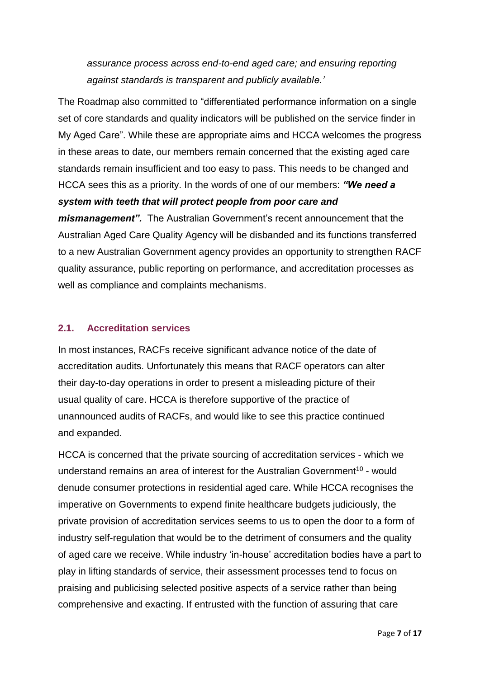*assurance process across end-to-end aged care; and ensuring reporting against standards is transparent and publicly available.'*

The Roadmap also committed to "differentiated performance information on a single set of core standards and quality indicators will be published on the service finder in My Aged Care". While these are appropriate aims and HCCA welcomes the progress in these areas to date, our members remain concerned that the existing aged care standards remain insufficient and too easy to pass. This needs to be changed and HCCA sees this as a priority. In the words of one of our members: *"We need a system with teeth that will protect people from poor care and mismanagement".* The Australian Government's recent announcement that the Australian Aged Care Quality Agency will be disbanded and its functions transferred to a new Australian Government agency provides an opportunity to strengthen RACF quality assurance, public reporting on performance, and accreditation processes as

well as compliance and complaints mechanisms.

#### **2.1. Accreditation services**

In most instances, RACFs receive significant advance notice of the date of accreditation audits. Unfortunately this means that RACF operators can alter their day-to-day operations in order to present a misleading picture of their usual quality of care. HCCA is therefore supportive of the practice of unannounced audits of RACFs, and would like to see this practice continued and expanded.

HCCA is concerned that the private sourcing of accreditation services - which we understand remains an area of interest for the Australian Government<sup>10</sup> - would denude consumer protections in residential aged care. While HCCA recognises the imperative on Governments to expend finite healthcare budgets judiciously, the private provision of accreditation services seems to us to open the door to a form of industry self-regulation that would be to the detriment of consumers and the quality of aged care we receive. While industry 'in-house' accreditation bodies have a part to play in lifting standards of service, their assessment processes tend to focus on praising and publicising selected positive aspects of a service rather than being comprehensive and exacting. If entrusted with the function of assuring that care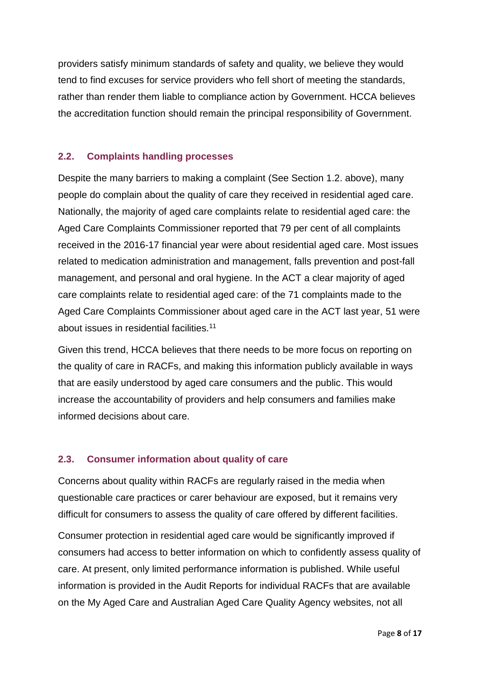providers satisfy minimum standards of safety and quality, we believe they would tend to find excuses for service providers who fell short of meeting the standards, rather than render them liable to compliance action by Government. HCCA believes the accreditation function should remain the principal responsibility of Government.

#### **2.2. Complaints handling processes**

Despite the many barriers to making a complaint (See Section 1.2. above), many people do complain about the quality of care they received in residential aged care. Nationally, the majority of aged care complaints relate to residential aged care: the Aged Care Complaints Commissioner reported that 79 per cent of all complaints received in the 2016-17 financial year were about residential aged care. Most issues related to medication administration and management, falls prevention and post-fall management, and personal and oral hygiene. In the ACT a clear majority of aged care complaints relate to residential aged care: of the 71 complaints made to the Aged Care Complaints Commissioner about aged care in the ACT last year, 51 were about issues in residential facilities.<sup>11</sup>

Given this trend, HCCA believes that there needs to be more focus on reporting on the quality of care in RACFs, and making this information publicly available in ways that are easily understood by aged care consumers and the public. This would increase the accountability of providers and help consumers and families make informed decisions about care.

# **2.3. Consumer information about quality of care**

Concerns about quality within RACFs are regularly raised in the media when questionable care practices or carer behaviour are exposed, but it remains very difficult for consumers to assess the quality of care offered by different facilities.

Consumer protection in residential aged care would be significantly improved if consumers had access to better information on which to confidently assess quality of care. At present, only limited performance information is published. While useful information is provided in the Audit Reports for individual RACFs that are available on the My Aged Care and Australian Aged Care Quality Agency websites, not all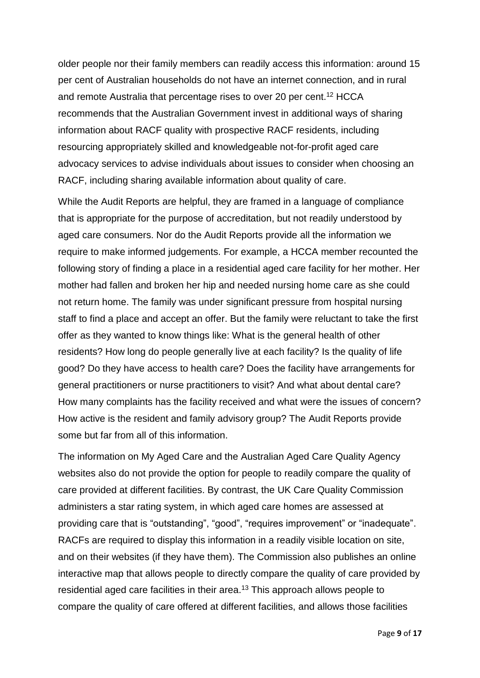older people nor their family members can readily access this information: around 15 per cent of Australian households do not have an internet connection, and in rural and remote Australia that percentage rises to over 20 per cent.<sup>12</sup> HCCA recommends that the Australian Government invest in additional ways of sharing information about RACF quality with prospective RACF residents, including resourcing appropriately skilled and knowledgeable not-for-profit aged care advocacy services to advise individuals about issues to consider when choosing an RACF, including sharing available information about quality of care.

While the Audit Reports are helpful, they are framed in a language of compliance that is appropriate for the purpose of accreditation, but not readily understood by aged care consumers. Nor do the Audit Reports provide all the information we require to make informed judgements. For example, a HCCA member recounted the following story of finding a place in a residential aged care facility for her mother. Her mother had fallen and broken her hip and needed nursing home care as she could not return home. The family was under significant pressure from hospital nursing staff to find a place and accept an offer. But the family were reluctant to take the first offer as they wanted to know things like: What is the general health of other residents? How long do people generally live at each facility? Is the quality of life good? Do they have access to health care? Does the facility have arrangements for general practitioners or nurse practitioners to visit? And what about dental care? How many complaints has the facility received and what were the issues of concern? How active is the resident and family advisory group? The Audit Reports provide some but far from all of this information.

The information on My Aged Care and the Australian Aged Care Quality Agency websites also do not provide the option for people to readily compare the quality of care provided at different facilities. By contrast, the UK Care Quality Commission administers a star rating system, in which aged care homes are assessed at providing care that is "outstanding", "good", "requires improvement" or "inadequate". RACFs are required to display this information in a readily visible location on site, and on their websites (if they have them). The Commission also publishes an online interactive map that allows people to directly compare the quality of care provided by residential aged care facilities in their area.<sup>13</sup> This approach allows people to compare the quality of care offered at different facilities, and allows those facilities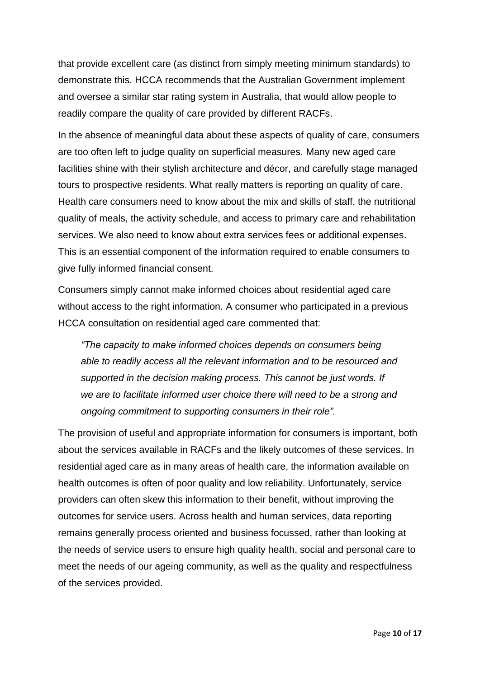that provide excellent care (as distinct from simply meeting minimum standards) to demonstrate this. HCCA recommends that the Australian Government implement and oversee a similar star rating system in Australia, that would allow people to readily compare the quality of care provided by different RACFs.

In the absence of meaningful data about these aspects of quality of care, consumers are too often left to judge quality on superficial measures. Many new aged care facilities shine with their stylish architecture and décor, and carefully stage managed tours to prospective residents. What really matters is reporting on quality of care. Health care consumers need to know about the mix and skills of staff, the nutritional quality of meals, the activity schedule, and access to primary care and rehabilitation services. We also need to know about extra services fees or additional expenses. This is an essential component of the information required to enable consumers to give fully informed financial consent.

Consumers simply cannot make informed choices about residential aged care without access to the right information. A consumer who participated in a previous HCCA consultation on residential aged care commented that:

*"The capacity to make informed choices depends on consumers being able to readily access all the relevant information and to be resourced and supported in the decision making process. This cannot be just words. If we are to facilitate informed user choice there will need to be a strong and ongoing commitment to supporting consumers in their role".* 

The provision of useful and appropriate information for consumers is important, both about the services available in RACFs and the likely outcomes of these services. In residential aged care as in many areas of health care, the information available on health outcomes is often of poor quality and low reliability. Unfortunately, service providers can often skew this information to their benefit, without improving the outcomes for service users. Across health and human services, data reporting remains generally process oriented and business focussed, rather than looking at the needs of service users to ensure high quality health, social and personal care to meet the needs of our ageing community, as well as the quality and respectfulness of the services provided.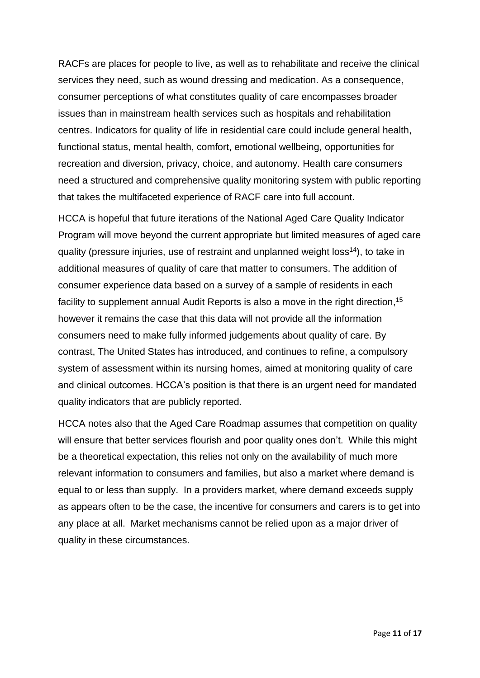RACFs are places for people to live, as well as to rehabilitate and receive the clinical services they need, such as wound dressing and medication. As a consequence, consumer perceptions of what constitutes quality of care encompasses broader issues than in mainstream health services such as hospitals and rehabilitation centres. Indicators for quality of life in residential care could include general health, functional status, mental health, comfort, emotional wellbeing, opportunities for recreation and diversion, privacy, choice, and autonomy. Health care consumers need a structured and comprehensive quality monitoring system with public reporting that takes the multifaceted experience of RACF care into full account.

HCCA is hopeful that future iterations of the National Aged Care Quality Indicator Program will move beyond the current appropriate but limited measures of aged care quality (pressure injuries, use of restraint and unplanned weight loss<sup>14</sup>), to take in additional measures of quality of care that matter to consumers. The addition of consumer experience data based on a survey of a sample of residents in each facility to supplement annual Audit Reports is also a move in the right direction,<sup>15</sup> however it remains the case that this data will not provide all the information consumers need to make fully informed judgements about quality of care. By contrast, The United States has introduced, and continues to refine, a compulsory system of assessment within its nursing homes, aimed at monitoring quality of care and clinical outcomes. HCCA's position is that there is an urgent need for mandated quality indicators that are publicly reported.

HCCA notes also that the Aged Care Roadmap assumes that competition on quality will ensure that better services flourish and poor quality ones don't. While this might be a theoretical expectation, this relies not only on the availability of much more relevant information to consumers and families, but also a market where demand is equal to or less than supply. In a providers market, where demand exceeds supply as appears often to be the case, the incentive for consumers and carers is to get into any place at all. Market mechanisms cannot be relied upon as a major driver of quality in these circumstances.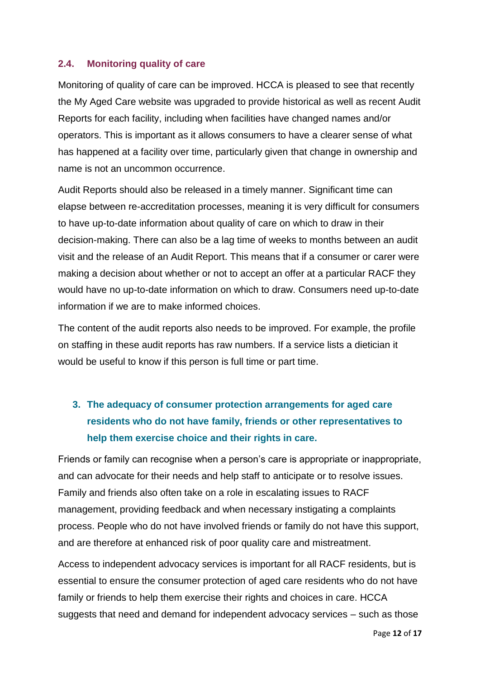#### **2.4. Monitoring quality of care**

Monitoring of quality of care can be improved. HCCA is pleased to see that recently the My Aged Care website was upgraded to provide historical as well as recent Audit Reports for each facility, including when facilities have changed names and/or operators. This is important as it allows consumers to have a clearer sense of what has happened at a facility over time, particularly given that change in ownership and name is not an uncommon occurrence.

Audit Reports should also be released in a timely manner. Significant time can elapse between re-accreditation processes, meaning it is very difficult for consumers to have up-to-date information about quality of care on which to draw in their decision-making. There can also be a lag time of weeks to months between an audit visit and the release of an Audit Report. This means that if a consumer or carer were making a decision about whether or not to accept an offer at a particular RACF they would have no up-to-date information on which to draw. Consumers need up-to-date information if we are to make informed choices.

The content of the audit reports also needs to be improved. For example, the profile on staffing in these audit reports has raw numbers. If a service lists a dietician it would be useful to know if this person is full time or part time.

# **3. The adequacy of consumer protection arrangements for aged care residents who do not have family, friends or other representatives to help them exercise choice and their rights in care.**

Friends or family can recognise when a person's care is appropriate or inappropriate, and can advocate for their needs and help staff to anticipate or to resolve issues. Family and friends also often take on a role in escalating issues to RACF management, providing feedback and when necessary instigating a complaints process. People who do not have involved friends or family do not have this support, and are therefore at enhanced risk of poor quality care and mistreatment.

Access to independent advocacy services is important for all RACF residents, but is essential to ensure the consumer protection of aged care residents who do not have family or friends to help them exercise their rights and choices in care. HCCA suggests that need and demand for independent advocacy services – such as those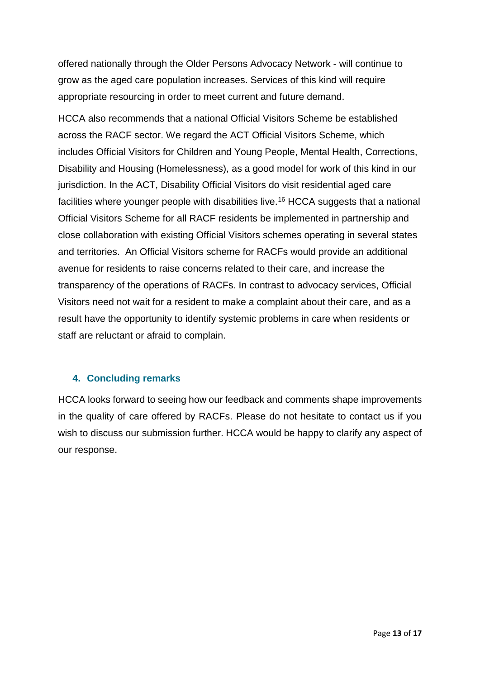offered nationally through the Older Persons Advocacy Network - will continue to grow as the aged care population increases. Services of this kind will require appropriate resourcing in order to meet current and future demand.

HCCA also recommends that a national Official Visitors Scheme be established across the RACF sector. We regard the ACT Official Visitors Scheme, which includes Official Visitors for Children and Young People, Mental Health, Corrections, Disability and Housing (Homelessness), as a good model for work of this kind in our jurisdiction. In the ACT, Disability Official Visitors do visit residential aged care facilities where younger people with disabilities live.<sup>16</sup> HCCA suggests that a national Official Visitors Scheme for all RACF residents be implemented in partnership and close collaboration with existing Official Visitors schemes operating in several states and territories. An Official Visitors scheme for RACFs would provide an additional avenue for residents to raise concerns related to their care, and increase the transparency of the operations of RACFs. In contrast to advocacy services, Official Visitors need not wait for a resident to make a complaint about their care, and as a result have the opportunity to identify systemic problems in care when residents or staff are reluctant or afraid to complain.

#### **4. Concluding remarks**

HCCA looks forward to seeing how our feedback and comments shape improvements in the quality of care offered by RACFs. Please do not hesitate to contact us if you wish to discuss our submission further. HCCA would be happy to clarify any aspect of our response.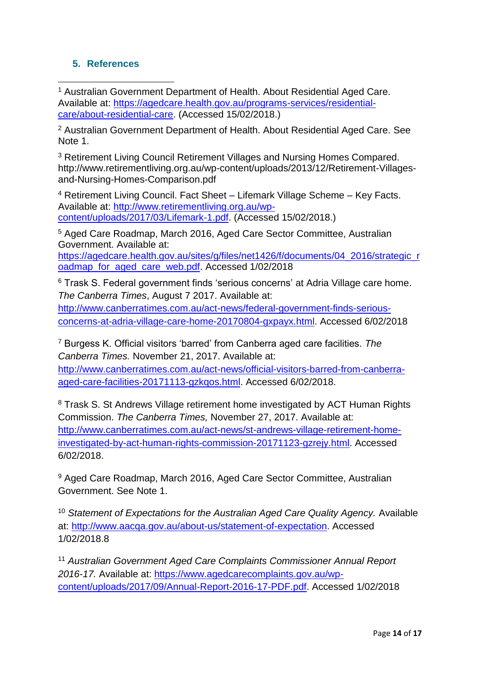# **5. References**

<sup>1</sup> Australian Government Department of Health. About Residential Aged Care. Available at: [https://agedcare.health.gov.au/programs-services/residential](https://agedcare.health.gov.au/programs-services/residential-care/about-residential-care)[care/about-residential-care.](https://agedcare.health.gov.au/programs-services/residential-care/about-residential-care) (Accessed 15/02/2018.) **.** 

<sup>2</sup> Australian Government Department of Health. About Residential Aged Care. See Note 1

<sup>3</sup> Retirement Living Council Retirement Villages and Nursing Homes Compared. http://www.retirementliving.org.au/wp-content/uploads/2013/12/Retirement-Villagesand-Nursing-Homes-Comparison.pdf

<sup>4</sup> Retirement Living Council. Fact Sheet – Lifemark Village Scheme – Key Facts. Available at: [http://www.retirementliving.org.au/wp](http://www.retirementliving.org.au/wp-content/uploads/2017/03/Lifemark-1.pdf)[content/uploads/2017/03/Lifemark-1.pdf.](http://www.retirementliving.org.au/wp-content/uploads/2017/03/Lifemark-1.pdf) (Accessed 15/02/2018.)

<sup>5</sup> Aged Care Roadmap, March 2016, Aged Care Sector Committee, Australian Government. Available at:

[https://agedcare.health.gov.au/sites/g/files/net1426/f/documents/04\\_2016/strategic\\_r](https://agedcare.health.gov.au/sites/g/files/net1426/f/documents/04_2016/strategic_roadmap_for_aged_care_web.pdf) [oadmap\\_for\\_aged\\_care\\_web.pdf.](https://agedcare.health.gov.au/sites/g/files/net1426/f/documents/04_2016/strategic_roadmap_for_aged_care_web.pdf) Accessed 1/02/2018

<sup>6</sup> Trask S. Federal government finds 'serious concerns' at Adria Village care home. *The Canberra Times*, August 7 2017. Available at:

[http://www.canberratimes.com.au/act-news/federal-government-finds-serious](http://www.canberratimes.com.au/act-news/federal-government-finds-serious-concerns-at-adria-village-care-home-20170804-gxpayx.html)[concerns-at-adria-village-care-home-20170804-gxpayx.html.](http://www.canberratimes.com.au/act-news/federal-government-finds-serious-concerns-at-adria-village-care-home-20170804-gxpayx.html) Accessed 6/02/2018

<sup>7</sup> Burgess K. Official visitors 'barred' from Canberra aged care facilities. *The Canberra Times.* November 21, 2017. Available at:

[http://www.canberratimes.com.au/act-news/official-visitors-barred-from-canberra](http://www.canberratimes.com.au/act-news/official-visitors-barred-from-canberra-aged-care-facilities-20171113-gzkqos.html)[aged-care-facilities-20171113-gzkqos.html.](http://www.canberratimes.com.au/act-news/official-visitors-barred-from-canberra-aged-care-facilities-20171113-gzkqos.html) Accessed 6/02/2018.

<sup>8</sup> Trask S. St Andrews Village retirement home investigated by ACT Human Rights Commission. *The Canberra Times,* November 27, 2017. Available at: [http://www.canberratimes.com.au/act-news/st-andrews-village-retirement-home](http://www.canberratimes.com.au/act-news/st-andrews-village-retirement-home-investigated-by-act-human-rights-commission-20171123-gzrejy.html)[investigated-by-act-human-rights-commission-20171123-gzrejy.html.](http://www.canberratimes.com.au/act-news/st-andrews-village-retirement-home-investigated-by-act-human-rights-commission-20171123-gzrejy.html) Accessed 6/02/2018.

<sup>9</sup> Aged Care Roadmap, March 2016, Aged Care Sector Committee, Australian Government. See Note 1.

<sup>10</sup> *Statement of Expectations for the Australian Aged Care Quality Agency.* Available at: [http://www.aacqa.gov.au/about-us/statement-of-expectation.](http://www.aacqa.gov.au/about-us/statement-of-expectation) Accessed 1/02/2018.8

<sup>11</sup> *Australian Government Aged Care Complaints Commissioner Annual Report 2016-17.* Available at: [https://www.agedcarecomplaints.gov.au/wp](https://www.agedcarecomplaints.gov.au/wp-content/uploads/2017/09/Annual-Report-2016-17-PDF.pdf)[content/uploads/2017/09/Annual-Report-2016-17-PDF.pdf.](https://www.agedcarecomplaints.gov.au/wp-content/uploads/2017/09/Annual-Report-2016-17-PDF.pdf) Accessed 1/02/2018